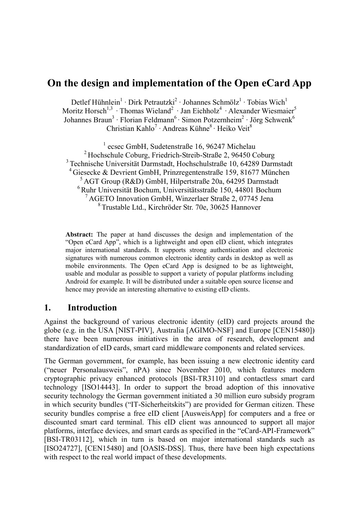# **On the design and implementation of the Open eCard App**

Detlef Hühnlein<sup>1</sup> · Dirk Petrautzki<sup>2</sup> · Johannes Schmölz<sup>1</sup> · Tobias Wich<sup>1</sup> Moritz Horsch<sup>1,3</sup> · Thomas Wieland<sup>2</sup> · Jan Eichholz<sup>4</sup> · Alexander Wiesmaier<sup>5</sup> Johannes Braun<sup>3</sup> · Florian Feldmann<sup>6</sup> · Simon Potzernheim<sup>2</sup> · Jörg Schwenk<sup>6</sup> Christian Kahlo<sup>7</sup> · Andreas Kühne<sup>8</sup> · Heiko Veit<sup>8</sup>

<sup>1</sup> ecsec GmbH, Sudetenstraße 16, 96247 Michelau Hochschule Coburg, Friedrich-Streib-Straße 2, 96450 Coburg Technische Universität Darmstadt, Hochschulstraße 10, 64289 Darmstadt Giesecke & Devrient GmbH, Prinzregentenstraße 159, 81677 München <sup>5</sup> AGT Group (R&D) GmbH, Hilpertstraße 20a, 64295 Darmstadt Ruhr Universität Bochum, Universitätsstraße 150, 44801 Bochum AGETO Innovation GmbH, Winzerlaer Straße 2, 07745 Jena Trustable Ltd., Kirchröder Str. 70e, 30625 Hannover

**Abstract:** The paper at hand discusses the design and implementation of the "Open eCard App", which is a lightweight and open eID client, which integrates major international standards. It supports strong authentication and electronic signatures with numerous common electronic identity cards in desktop as well as mobile environments. The Open eCard App is designed to be as lightweight, usable and modular as possible to support a variety of popular platforms including Android for example. It will be distributed under a suitable open source license and hence may provide an interesting alternative to existing eID clients.

### **1. Introduction**

Against the background of various electronic identity (eID) card projects around the globe (e.g. in the USA [NIST-PIV], Australia [AGIMO-NSF] and Europe [CEN15480]) there have been numerous initiatives in the area of research, development and standardization of eID cards, smart card middleware components and related services.

The German government, for example, has been issuing a new electronic identity card ("neuer Personalausweis", nPA) since November 2010, which features modern cryptographic privacy enhanced protocols [BSI-TR3110] and contactless smart card technology [ISO14443]. In order to support the broad adoption of this innovative security technology the German government initiated a 30 million euro subsidy program in which security bundles ("IT-Sicherheitskits") are provided for German citizen. These security bundles comprise a free eID client [AusweisApp] for computers and a free or discounted smart card terminal. This eID client was announced to support all major platforms, interface devices, and smart cards as specified in the "eCard-API-Framework" [BSI-TR03112], which in turn is based on major international standards such as [ISO24727], [CEN15480] and [OASIS-DSS]. Thus, there have been high expectations with respect to the real world impact of these developments.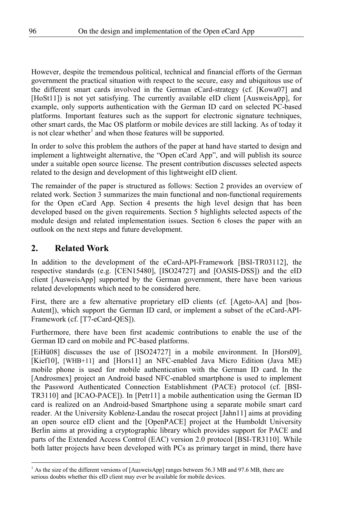However, despite the tremendous political, technical and financial efforts of the German government the practical situation with respect to the secure, easy and ubiquitous use of the different smart cards involved in the German eCard-strategy (cf. [Kowa07] and [HoSt11]) is not yet satisfying. The currently available eID client [AusweisApp], for example, only supports authentication with the German ID card on selected PC-based platforms. Important features such as the support for electronic signature techniques, other smart cards, the Mac OS platform or mobile devices are still lacking. As of today it is not clear whether<sup>1</sup> and when those features will be supported.

In order to solve this problem the authors of the paper at hand have started to design and implement a lightweight alternative, the "Open eCard App", and will publish its source under a suitable open source license. The present contribution discusses selected aspects related to the design and development of this lightweight eID client.

The remainder of the paper is structured as follows: Section 2 provides an overview of related work. Section 3 summarizes the main functional and non-functional requirements for the Open eCard App. Section 4 presents the high level design that has been developed based on the given requirements. Section 5 highlights selected aspects of the module design and related implementation issues. Section 6 closes the paper with an outlook on the next steps and future development.

## **2. Related Work**

In addition to the development of the eCard-API-Framework [BSI-TR03112], the respective standards (e.g. [CEN15480], [ISO24727] and [OASIS-DSS]) and the eID client [AusweisApp] supported by the German government, there have been various related developments which need to be considered here.

First, there are a few alternative proprietary eID clients (cf. [Ageto-AA] and [bos-Autent]), which support the German ID card, or implement a subset of the eCard-API-Framework (cf. [T7-eCard-QES]).

Furthermore, there have been first academic contributions to enable the use of the German ID card on mobile and PC-based platforms.

[EiHü08] discusses the use of [ISO24727] in a mobile environment. In [Hors09], [Kief10], [WHB+11] and [Hors11] an NFC-enabled Java Micro Edition (Java ME) mobile phone is used for mobile authentication with the German ID card. In the [Androsmex] project an Android based NFC-enabled smartphone is used to implement the Password Authenticated Connection Establishment (PACE) protocol (cf. [BSI-TR3110] and [ICAO-PACE]). In [Petr11] a mobile authentication using the German ID card is realized on an Android-based Smartphone using a separate mobile smart card reader. At the University Koblenz-Landau the rosecat project [Jahn11] aims at providing an open source eID client and the [OpenPACE] project at the Humboldt University Berlin aims at providing a cryptographic library which provides support for PACE and parts of the Extended Access Control (EAC) version 2.0 protocol [BSI-TR3110]. While both latter projects have been developed with PCs as primary target in mind, there have

<sup>&</sup>lt;sup>1</sup> As the size of the different versions of [AusweisApp] ranges between 56.3 MB and 97.6 MB, there are serious doubts whether this eID client may ever be available for mobile devices.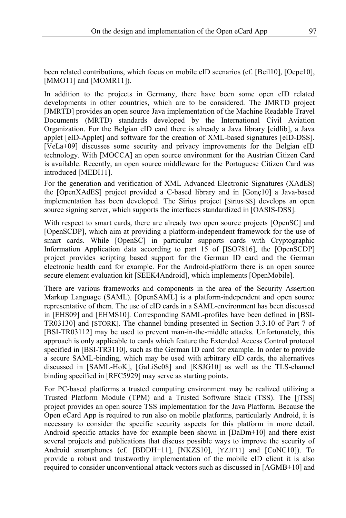been related contributions, which focus on mobile eID scenarios (cf. [Beil10], [Oepe10], [MMO11] and [MOMR11]).

In addition to the projects in Germany, there have been some open eID related developments in other countries, which are to be considered. The JMRTD project [JMRTD] provides an open source Java implementation of the Machine Readable Travel Documents (MRTD) standards developed by the International Civil Aviation Organization. For the Belgian eID card there is already a Java library [eidlib], a Java applet [eID-Applet] and software for the creation of XML-based signatures [eID-DSS]. [VeLa+09] discusses some security and privacy improvements for the Belgian eID technology. With [MOCCA] an open source environment for the Austrian Citizen Card is available. Recently, an open source middleware for the Portuguese Citizen Card was introduced [MEDI11].

For the generation and verification of XML Advanced Electronic Signatures (XAdES) the [OpenXAdES] project provided a C-based library and in [Gonç10] a Java-based implementation has been developed. The Sirius project [Sirius-SS] develops an open source signing server, which supports the interfaces standardized in [OASIS-DSS].

With respect to smart cards, there are already two open source projects [OpenSC] and [OpenSCDP], which aim at providing a platform-independent framework for the use of smart cards. While [OpenSC] in particular supports cards with Cryptographic Information Application data according to part 15 of [ISO7816], the [OpenSCDP] project provides scripting based support for the German ID card and the German electronic health card for example. For the Android-platform there is an open source secure element evaluation kit [SEEK4Android], which implements [OpenMobile].

There are various frameworks and components in the area of the Security Assertion Markup Language (SAML). [OpenSAML] is a platform-independent and open source representative of them. The use of eID cards in a SAML-environment has been discussed in [EHS09] and [EHMS10]. Corresponding SAML-profiles have been defined in [BSI-TR03130] and [STORK]. The channel binding presented in Section 3.3.10 of Part 7 of [BSI-TR03112] may be used to prevent man-in-the-middle attacks. Unfortunately, this approach is only applicable to cards which feature the Extended Access Control protocol specified in [BSI-TR3110], such as the German ID card for example. In order to provide a secure SAML-binding, which may be used with arbitrary eID cards, the alternatives discussed in [SAML-HoK], [GaLiSc08] and [KSJG10] as well as the TLS-channel binding specified in [RFC5929] may serve as starting points.

For PC-based platforms a trusted computing environment may be realized utilizing a Trusted Platform Module (TPM) and a Trusted Software Stack (TSS). The [jTSS] project provides an open source TSS implementation for the Java Platform. Because the Open eCard App is required to run also on mobile platforms, particularly Android, it is necessary to consider the specific security aspects for this platform in more detail. Android specific attacks have for example been shown in [DaDm+10] and there exist several projects and publications that discuss possible ways to improve the security of Android smartphones (cf. [BDDH+11], [NKZS10], [YZJF11] and [CoNC10]). To provide a robust and trustworthy implementation of the mobile eID client it is also required to consider unconventional attack vectors such as discussed in [AGMB+10] and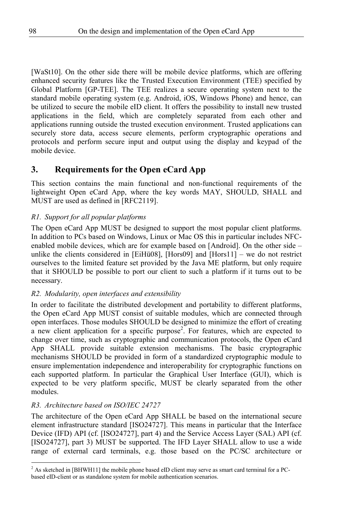[WaSt10]. On the other side there will be mobile device platforms, which are offering enhanced security features like the Trusted Execution Environment (TEE) specified by Global Platform [GP-TEE]. The TEE realizes a secure operating system next to the standard mobile operating system (e.g. Android, iOS, Windows Phone) and hence, can be utilized to secure the mobile eID client. It offers the possibility to install new trusted applications in the field, which are completely separated from each other and applications running outside the trusted execution environment. Trusted applications can securely store data, access secure elements, perform cryptographic operations and protocols and perform secure input and output using the display and keypad of the mobile device.

## **3. Requirements for the Open eCard App**

This section contains the main functional and non-functional requirements of the lightweight Open eCard App, where the key words MAY, SHOULD, SHALL and MUST are used as defined in [RFC2119].

#### *R1. Support for all popular platforms*

The Open eCard App MUST be designed to support the most popular client platforms. In addition to PCs based on Windows, Linux or Mac OS this in particular includes NFCenabled mobile devices, which are for example based on [Android]. On the other side – unlike the clients considered in [EiHü08], [Hors09] and [Hors11] – we do not restrict ourselves to the limited feature set provided by the Java ME platform, but only require that it SHOULD be possible to port our client to such a platform if it turns out to be necessary.

#### *R2. Modularity, open interfaces and extensibility*

In order to facilitate the distributed development and portability to different platforms, the Open eCard App MUST consist of suitable modules, which are connected through open interfaces. Those modules SHOULD be designed to minimize the effort of creating a new client application for a specific purpose<sup>2</sup>. For features, which are expected to change over time, such as cryptographic and communication protocols, the Open eCard App SHALL provide suitable extension mechanisms. The basic cryptographic mechanisms SHOULD be provided in form of a standardized cryptographic module to ensure implementation independence and interoperability for cryptographic functions on each supported platform. In particular the Graphical User Interface (GUI), which is expected to be very platform specific, MUST be clearly separated from the other modules.

#### *R3. Architecture based on ISO/IEC 24727*

The architecture of the Open eCard App SHALL be based on the international secure element infrastructure standard [ISO24727]. This means in particular that the Interface Device (IFD) API (cf. [ISO24727], part 4) and the Service Access Layer (SAL) API (cf. [ISO24727], part 3) MUST be supported. The IFD Layer SHALL allow to use a wide range of external card terminals, e.g. those based on the PC/SC architecture or

<sup>&</sup>lt;sup>2</sup> As sketched in [BHWH11] the mobile phone based eID client may serve as smart card terminal for a PCbased eID-client or as standalone system for mobile authentication scenarios.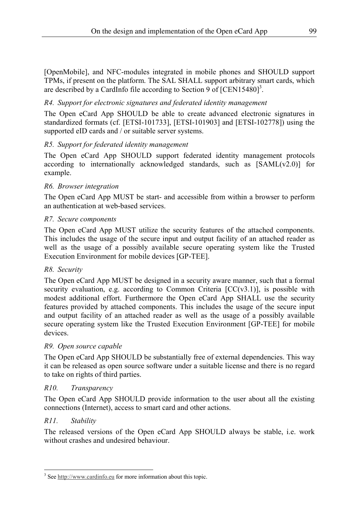[OpenMobile], and NFC-modules integrated in mobile phones and SHOULD support TPMs, if present on the platform. The SAL SHALL support arbitrary smart cards, which are described by a CardInfo file according to Section 9 of  $[CEN15480]^3$ .

#### *R4. Support for electronic signatures and federated identity management*

The Open eCard App SHOULD be able to create advanced electronic signatures in standardized formats (cf. [ETSI-101733], [ETSI-101903] and [ETSI-102778]) using the supported eID cards and / or suitable server systems.

#### *R5. Support for federated identity management*

The Open eCard App SHOULD support federated identity management protocols according to internationally acknowledged standards, such as  $[SAML(v2.0)]$  for example.

#### *R6. Browser integration*

The Open eCard App MUST be start- and accessible from within a browser to perform an authentication at web-based services.

#### *R7. Secure components*

The Open eCard App MUST utilize the security features of the attached components. This includes the usage of the secure input and output facility of an attached reader as well as the usage of a possibly available secure operating system like the Trusted Execution Environment for mobile devices [GP-TEE].

#### *R8. Security*

The Open eCard App MUST be designed in a security aware manner, such that a formal security evaluation, e.g. according to Common Criteria  $[CC(v3.1)]$ , is possible with modest additional effort. Furthermore the Open eCard App SHALL use the security features provided by attached components. This includes the usage of the secure input and output facility of an attached reader as well as the usage of a possibly available secure operating system like the Trusted Execution Environment [GP-TEE] for mobile devices.

#### *R9. Open source capable*

The Open eCard App SHOULD be substantially free of external dependencies. This way it can be released as open source software under a suitable license and there is no regard to take on rights of third parties.

#### *R10. Transparency*

The Open eCard App SHOULD provide information to the user about all the existing connections (Internet), access to smart card and other actions.

#### *R11. Stability*

The released versions of the Open eCard App SHOULD always be stable, i.e. work without crashes and undesired behaviour.

<sup>&</sup>lt;sup>3</sup> See http://www.cardinfo.eu for more information about this topic.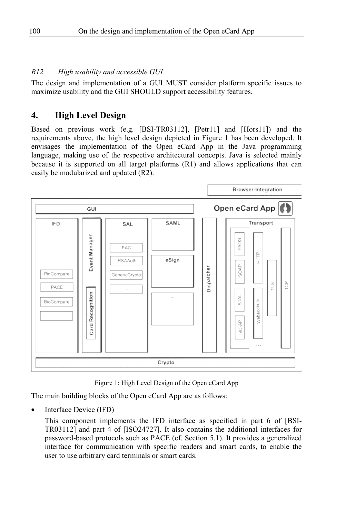#### *R12. High usability and accessible GUI*

The design and implementation of a GUI MUST consider platform specific issues to maximize usability and the GUI SHOULD support accessibility features.

## **4. High Level Design**

Based on previous work (e.g. [BSI-TR03112], [Petr11] and [Hors11]) and the requirements above, the high level design depicted in Figure 1 has been developed. It envisages the implementation of the Open eCard App in the Java programming language, making use of the respective architectural concepts. Java is selected mainly because it is supported on all target platforms (R1) and allows applications that can easily be modularized and updated (R2).



Figure 1: High Level Design of the Open eCard App

The main building blocks of the Open eCard App are as follows:

Interface Device (IFD)

This component implements the IFD interface as specified in part 6 of [BSI-TR03112] and part 4 of [ISO24727]. It also contains the additional interfaces for password-based protocols such as PACE (cf. Section 5.1). It provides a generalized interface for communication with specific readers and smart cards, to enable the user to use arbitrary card terminals or smart cards.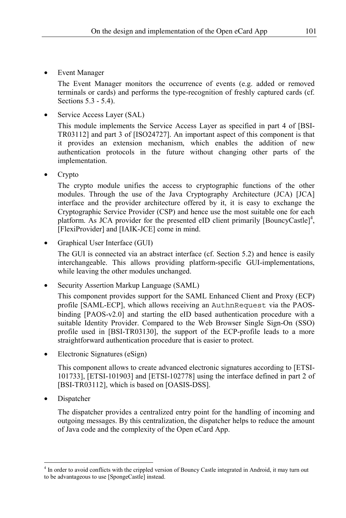**Event Manager** 

The Event Manager monitors the occurrence of events (e.g. added or removed terminals or cards) and performs the type-recognition of freshly captured cards (cf. Sections 5.3 - 5.4).

Service Access Layer (SAL)

This module implements the Service Access Layer as specified in part 4 of [BSI-TR03112] and part 3 of [ISO24727]. An important aspect of this component is that it provides an extension mechanism, which enables the addition of new authentication protocols in the future without changing other parts of the implementation.

• Crypto

The crypto module unifies the access to cryptographic functions of the other modules. Through the use of the Java Cryptography Architecture (JCA) [JCA] interface and the provider architecture offered by it, it is easy to exchange the Cryptographic Service Provider (CSP) and hence use the most suitable one for each platform. As JCA provider for the presented eID client primarily [BouncyCastle]<sup>4</sup>, [FlexiProvider] and [IAIK-JCE] come in mind.

• Graphical User Interface (GUI)

The GUI is connected via an abstract interface (cf. Section 5.2) and hence is easily interchangeable. This allows providing platform-specific GUI-implementations, while leaving the other modules unchanged.

• Security Assertion Markup Language (SAML)

This component provides support for the SAML Enhanced Client and Proxy (ECP) profile [SAML-ECP], which allows receiving an AuthnRequest via the PAOSbinding [PAOS-v2.0] and starting the eID based authentication procedure with a suitable Identity Provider. Compared to the Web Browser Single Sign-On (SSO) profile used in [BSI-TR03130], the support of the ECP-profile leads to a more straightforward authentication procedure that is easier to protect.

• Electronic Signatures (eSign)

This component allows to create advanced electronic signatures according to [ETSI-101733], [ETSI-101903] and [ETSI-102778] using the interface defined in part 2 of [BSI-TR03112], which is based on [OASIS-DSS].

**Dispatcher** 

The dispatcher provides a centralized entry point for the handling of incoming and outgoing messages. By this centralization, the dispatcher helps to reduce the amount of Java code and the complexity of the Open eCard App.

<sup>4</sup> In order to avoid conflicts with the crippled version of Bouncy Castle integrated in Android, it may turn out to be advantageous to use [SpongeCastle] instead.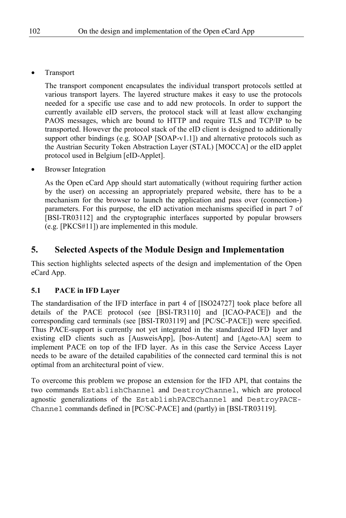**Transport** 

The transport component encapsulates the individual transport protocols settled at various transport layers. The layered structure makes it easy to use the protocols needed for a specific use case and to add new protocols. In order to support the currently available eID servers, the protocol stack will at least allow exchanging PAOS messages, which are bound to HTTP and require TLS and TCP/IP to be transported. However the protocol stack of the eID client is designed to additionally support other bindings (e.g.  $SOAP$  [SOAP-v1.1]) and alternative protocols such as the Austrian Security Token Abstraction Layer (STAL) [MOCCA] or the eID applet protocol used in Belgium [eID-Applet].

• Browser Integration

As the Open eCard App should start automatically (without requiring further action by the user) on accessing an appropriately prepared website, there has to be a mechanism for the browser to launch the application and pass over (connection-) parameters. For this purpose, the eID activation mechanisms specified in part 7 of [BSI-TR03112] and the cryptographic interfaces supported by popular browsers (e.g. [PKCS#11]) are implemented in this module.

## **5. Selected Aspects of the Module Design and Implementation**

This section highlights selected aspects of the design and implementation of the Open eCard App.

#### **5.1 PACE in IFD Layer**

The standardisation of the IFD interface in part 4 of [ISO24727] took place before all details of the PACE protocol (see [BSI-TR3110] and [ICAO-PACE]) and the corresponding card terminals (see [BSI-TR03119] and [PC/SC-PACE]) were specified. Thus PACE-support is currently not yet integrated in the standardized IFD layer and existing eID clients such as [AusweisApp], [bos-Autent] and [Ageto-AA] seem to implement PACE on top of the IFD layer. As in this case the Service Access Layer needs to be aware of the detailed capabilities of the connected card terminal this is not optimal from an architectural point of view.

To overcome this problem we propose an extension for the IFD API, that contains the two commands EstablishChannel and DestroyChannel, which are protocol agnostic generalizations of the EstablishPACEChannel and DestroyPACE-Channel commands defined in [PC/SC-PACE] and (partly) in [BSI-TR03119].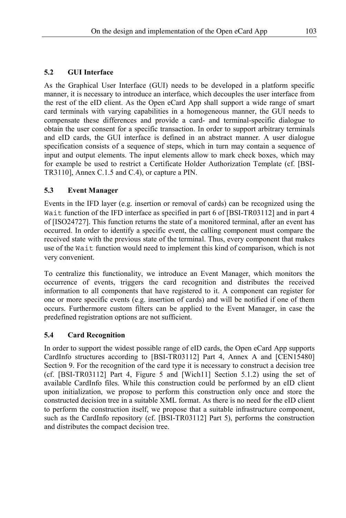#### **5.2 GUI Interface**

As the Graphical User Interface (GUI) needs to be developed in a platform specific manner, it is necessary to introduce an interface, which decouples the user interface from the rest of the eID client. As the Open eCard App shall support a wide range of smart card terminals with varying capabilities in a homogeneous manner, the GUI needs to compensate these differences and provide a card- and terminal-specific dialogue to obtain the user consent for a specific transaction. In order to support arbitrary terminals and eID cards, the GUI interface is defined in an abstract manner. A user dialogue specification consists of a sequence of steps, which in turn may contain a sequence of input and output elements. The input elements allow to mark check boxes, which may for example be used to restrict a Certificate Holder Authorization Template (cf. [BSI-TR3110], Annex C.1.5 and C.4), or capture a PIN.

#### **5.3 Event Manager**

Events in the IFD layer (e.g. insertion or removal of cards) can be recognized using the Wait function of the IFD interface as specified in part 6 of [BSI-TR03112] and in part 4 of [ISO24727]. This function returns the state of a monitored terminal, after an event has occurred. In order to identify a specific event, the calling component must compare the received state with the previous state of the terminal. Thus, every component that makes use of the Wait function would need to implement this kind of comparison, which is not very convenient.

To centralize this functionality, we introduce an Event Manager, which monitors the occurrence of events, triggers the card recognition and distributes the received information to all components that have registered to it. A component can register for one or more specific events (e.g. insertion of cards) and will be notified if one of them occurs. Furthermore custom filters can be applied to the Event Manager, in case the predefined registration options are not sufficient.

#### **5.4 Card Recognition**

In order to support the widest possible range of eID cards, the Open eCard App supports CardInfo structures according to [BSI-TR03112] Part 4, Annex A and [CEN15480] Section 9. For the recognition of the card type it is necessary to construct a decision tree (cf. [BSI-TR03112] Part 4, Figure 5 and [Wich11] Section 5.1.2) using the set of available CardInfo files. While this construction could be performed by an eID client upon initialization, we propose to perform this construction only once and store the constructed decision tree in a suitable XML format. As there is no need for the eID client to perform the construction itself, we propose that a suitable infrastructure component, such as the CardInfo repository (cf. [BSI-TR03112] Part 5), performs the construction and distributes the compact decision tree.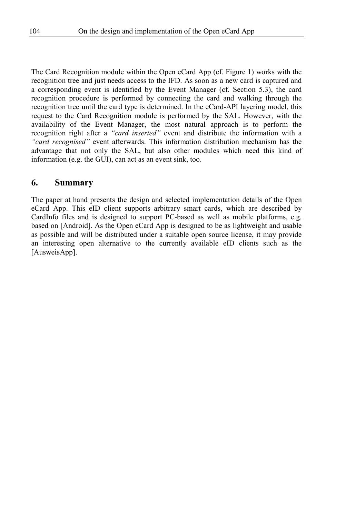The Card Recognition module within the Open eCard App (cf. Figure 1) works with the recognition tree and just needs access to the IFD. As soon as a new card is captured and a corresponding event is identified by the Event Manager (cf. Section 5.3), the card recognition procedure is performed by connecting the card and walking through the recognition tree until the card type is determined. In the eCard-API layering model, this request to the Card Recognition module is performed by the SAL. However, with the availability of the Event Manager, the most natural approach is to perform the recognition right after a *"card inserted"* event and distribute the information with a *"card recognised"* event afterwards. This information distribution mechanism has the advantage that not only the SAL, but also other modules which need this kind of information (e.g. the GUI), can act as an event sink, too.

### **6. Summary**

The paper at hand presents the design and selected implementation details of the Open eCard App. This eID client supports arbitrary smart cards, which are described by CardInfo files and is designed to support PC-based as well as mobile platforms, e.g. based on [Android]. As the Open eCard App is designed to be as lightweight and usable as possible and will be distributed under a suitable open source license, it may provide an interesting open alternative to the currently available eID clients such as the [AusweisApp].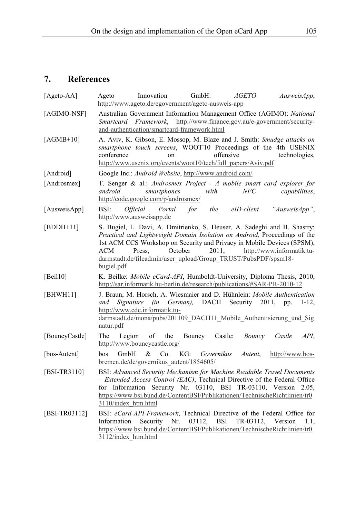# **7. References**

| [Ageto-AA]     | $GmbH$ :<br><b>AGETO</b><br>Innovation<br>Ageto<br>AusweisApp,<br>http://www.ageto.de/egovernment/ageto-ausweis-app                                                                                                                                                                                                                                                               |
|----------------|-----------------------------------------------------------------------------------------------------------------------------------------------------------------------------------------------------------------------------------------------------------------------------------------------------------------------------------------------------------------------------------|
| [AGIMO-NSF]    | Australian Government Information Management Office (AGIMO): National<br>http://www.finance.gov.au/e-government/security-<br>Smartcard<br><i>Framework,</i><br>and-authentication/smartcard-framework.html                                                                                                                                                                        |
| [AGMB+10]      | A. Aviv, K. Gibson, E. Mossop, M. Blaze and J. Smith: Smudge attacks on<br>smartphone touch screens, WOOT'10 Proceedings of the 4th USENIX<br>conference<br>offensive<br>technologies,<br>on<br>http://www.usenix.org/events/woot10/tech/full_papers/Aviv.pdf                                                                                                                     |
| [Android]      | Google Inc.: Android Website, http://www.android.com/                                                                                                                                                                                                                                                                                                                             |
| [Androsmex]    | T. Senger & al.: Androsmex Project - A mobile smart card explorer for<br>NFC<br>capabilities,<br>android<br>smartphones<br>with<br>http://code.google.com/p/androsmex/                                                                                                                                                                                                            |
| [AusweisApp]   | for<br>"AusweisApp",<br>BSI:<br><i><b>Official</b></i><br>Portal<br>the<br>eID-client<br>http://www.ausweisapp.de                                                                                                                                                                                                                                                                 |
| $[BDDH+11]$    | S. Bugiel, L. Davi, A. Dmitrienko, S. Heuser, A. Sadeghi and B. Shastry:<br>Practical and Lightweight Domain Isolation on Android, Proceedings of the<br>1st ACM CCS Workshop on Security and Privacy in Mobile Devices (SPSM),<br>October<br>2011.<br>http://www.informatik.tu-<br>ACM<br>Press.<br>darmstadt.de/fileadmin/user_upload/Group_TRUST/PubsPDF/spsm18-<br>bugiel.pdf |
| [Beil $10$ ]   | K. Beilke: Mobile eCard-API, Humboldt-University, Diploma Thesis, 2010,<br>http://sar.informatik.hu-berlin.de/research/publications/#SAR-PR-2010-12                                                                                                                                                                                                                               |
| [BHWH11]       | J. Braun, M. Horsch, A. Wiesmaier and D. Hühnlein: Mobile Authentication<br>(in German), DACH Security 2011,<br>and<br>Signature<br>pp.<br>$1-12$ ,<br>http://www.cdc.informatik.tu-<br>darmstadt.de/mona/pubs/201109 DACH11 Mobile Authentisierung und Sig<br>natur.pdf                                                                                                          |
| [BouncyCastle] | Castle:<br>API.<br>The<br>Legion<br>οf<br>the<br>Bouncy<br>Bouncy<br>Castle<br>http://www.bouncycastle.org/                                                                                                                                                                                                                                                                       |
| [bos-Autent]   | &<br>KG:<br>bos<br>GmbH<br>Co.<br>Governikus<br>Autent,<br>http://www.bos-<br>bremen.de/de/governikus autent/1854605/                                                                                                                                                                                                                                                             |
| [BSI-TR3110]   | BSI: Advanced Security Mechanism for Machine Readable Travel Documents<br>- Extended Access Control (EAC), Technical Directive of the Federal Office<br>for Information Security Nr. 03110, BSI TR-03110, Version 2.05,<br>https://www.bsi.bund.de/ContentBSI/Publikationen/TechnischeRichtlinien/tr0<br>3110/index htm.html                                                      |
| [BSI-TR03112]  | BSI: eCard-API-Framework, Technical Directive of the Federal Office for<br>03112,<br>BSI<br>TR-03112, Version<br>Information<br>Security<br>Nr.<br>1.1.<br>https://www.bsi.bund.de/ContentBSI/Publikationen/TechnischeRichtlinien/tr0<br>3112/index htm.html                                                                                                                      |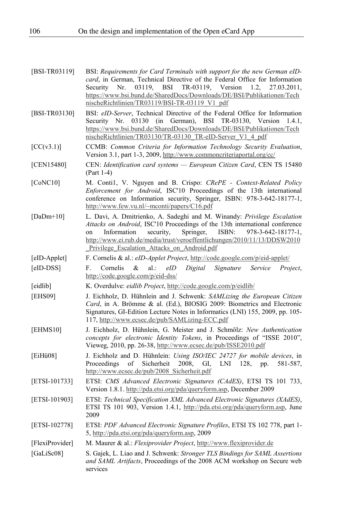| [BSI-TR03119]   | BSI: Requirements for Card Terminals with support for the new German eID-<br>card, in German, Technical Directive of the Federal Office for Information<br>03119,<br>BSI<br>TR-03119, Version 1.2,<br>Security Nr.<br>27.03.2011,<br>https://www.bsi.bund.de/SharedDocs/Downloads/DE/BSI/Publikationen/Tech<br>nischeRichtlinien/TR03119/BSI-TR-03119 V1 pdf               |
|-----------------|----------------------------------------------------------------------------------------------------------------------------------------------------------------------------------------------------------------------------------------------------------------------------------------------------------------------------------------------------------------------------|
| [BSI-TR03130]   | BSI: eID-Server, Technical Directive of the Federal Office for Information<br>03130<br>(in German), BSI TR-03130, Version 1.4.1,<br>Security Nr.<br>https://www.bsi.bund.de/SharedDocs/Downloads/DE/BSI/Publikationen/Tech<br>nischeRichtlinien/TR03130/TR-03130 TR-eID-Server V1 4 pdf                                                                                    |
| [CC(v3.1)]      | CCMB: Common Criteria for Information Technology Security Evaluation,<br>Version 3.1, part 1-3, 2009, http://www.commoncriteriaportal.org/cc/                                                                                                                                                                                                                              |
| [CEN15480]      | CEN: Identification card systems - European Citizen Card, CEN TS 15480<br>$(Part 1-4)$                                                                                                                                                                                                                                                                                     |
| [CoNC10]        | M. Contil, V. Nguyen and B. Crispo: CRePE - Context-Related Policy<br>Enforcement for Android, ISC'10 Proceedings of the 13th international<br>conference on Information security, Springer, ISBN: 978-3-642-18177-1,<br>http://www.few.vu.nl/~mconti/papers/C16.pdf                                                                                                       |
| [ $DaDm+10$ ]   | L. Davi, A. Dmitrienko, A. Sadeghi and M. Winandy: Privilege Escalation<br>Attacks on Android, ISC'10 Proceedings of the 13th international conference<br>ISBN:<br>Information<br>security,<br>Springer,<br>$978 - 3 - 642 - 18177 - 1$ ,<br>on<br>http://www.ei.rub.de/media/trust/veroeffentlichungen/2010/11/13/DDSW2010<br>Privilege Escalation Attacks on Android.pdf |
| [eID-Applet]    | F. Cornelis & al.: eID-Applet Project, http://code.google.com/p/eid-applet/                                                                                                                                                                                                                                                                                                |
| [eID-DSS]       | F.<br>Cornelis<br>&<br>$al.$ :<br>eID<br>Digital<br>Signature<br>Service<br>Project.<br>http://code.google.com/p/eid-dss/                                                                                                                                                                                                                                                  |
| [eidlib]        | K. Overdulve: eidlib Project, http://code.google.com/p/eidlib/                                                                                                                                                                                                                                                                                                             |
| [EHS09]         | J. Eichholz, D. Hühnlein and J. Schwenk: SAMLizing the European Citizen<br>Card, in A. Brömme & al. (Ed.), BIOSIG 2009: Biometrics and Electronic<br>Signatures, GI-Edition Lecture Notes in Informatics (LNI) 155, 2009, pp. 105-<br>117, http://www.ecsec.de/pub/SAMLizing-ECC.pdf                                                                                       |
| [EHMS10]        | J. Eichholz, D. Hühnlein, G. Meister and J. Schmölz: New Authentication<br>concepts for electronic Identity Tokens, in Proceedings of "ISSE 2010",<br>Vieweg, 2010, pp. 26-38, http://www.ecsec.de/pub/ISSE2010.pdf                                                                                                                                                        |
| [EiHii08]       | J. Eichholz and D. Hühnlein: Using ISO/IEC 24727 for mobile devices, in<br>Sicherheit<br>2008,<br>Proceedings<br>of<br>GI,<br>LNI<br>128.<br>581-587,<br>pp.<br>http://www.ecsec.de/pub/2008 Sicherheit.pdf                                                                                                                                                                |
| [ETSI-101733]   | ETSI: CMS Advanced Electronic Signatures (CAdES), ETSI TS 101 733,<br>Version 1.8.1. http://pda.etsi.org/pda/queryform.asp, December 2009                                                                                                                                                                                                                                  |
| [ETSI-101903]   | ETSI: Technical Specification XML Advanced Electronic Signatures (XAdES),<br>ETSI TS 101 903, Version 1.4.1, http://pda.etsi.org/pda/queryform.asp, June<br>2009                                                                                                                                                                                                           |
| [ETSI-102778]   | ETSI: PDF Advanced Electronic Signature Profiles, ETSI TS 102 778, part 1-<br>5, http://pda.etsi.org/pda/queryform.asp, 2009                                                                                                                                                                                                                                               |
| [FlexiProvider] | M. Maurer & al.: Flexiprovider Project, http://www.flexiprovider.de                                                                                                                                                                                                                                                                                                        |
| [GaLiSc08]      | S. Gajek, L. Liao and J. Schwenk: Stronger TLS Bindings for SAML Assertions<br>and SAML Artifacts, Proceedings of the 2008 ACM workshop on Secure web<br>services                                                                                                                                                                                                          |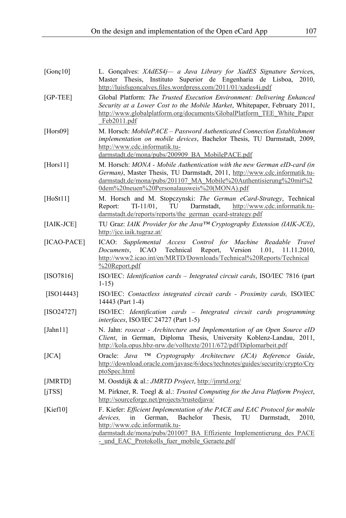| [ $Gone10$ ] | L. Gonçalves: XAdES4j- a Java Library for XadES Signature Services,<br>Instituto Superior de Engenharia de Lisboa,<br>Thesis.<br>Master<br>2010.<br>http://luisfsgoncalves.files.wordpress.com/2011/01/xades4i.pdf                                                                                                    |
|--------------|-----------------------------------------------------------------------------------------------------------------------------------------------------------------------------------------------------------------------------------------------------------------------------------------------------------------------|
| $[GP-TEE]$   | Global Platform: The Trusted Execution Environment: Delivering Enhanced<br>Security at a Lower Cost to the Mobile Market, Whitepaper, February 2011,<br>http://www.globalplatform.org/documents/GlobalPlatform TEE White Paper<br>Feb2011.pdf                                                                         |
| [ $Hors09$ ] | M. Horsch: MobilePACE - Password Authenticated Connection Establishment<br>implementation on mobile devices, Bachelor Thesis, TU Darmstadt, 2009,<br>http://www.cdc.informatik.tu-<br>darmstadt.de/mona/pubs/200909_BA_MobilePACE.pdf                                                                                 |
| [ $Hors11$ ] | M. Horsch: MONA - Mobile Authentication with the new German eID-card (in<br>German), Master Thesis, TU Darmstadt, 2011, http://www.cdc.informatik.tu-<br>darmstadt.de/mona/pubs/201107 MA Mobile%20Authentisierung%20mit%2<br>0dem%20neuen%20Personalausweis%20(MONA).pdf                                             |
| [ $HoSt11$ ] | M. Horsch and M. Stopczynski: The German eCard-Strategy, Technical<br>$TI-11/01$ .<br>TU<br>Darmstadt,<br>http://www.cdc.informatik.tu-<br>Report:<br>darmstadt.de/reports/reports/the german ecard-strategy.pdf                                                                                                      |
| $[IAIK-JCE]$ | TU Graz: IAIK Provider for the Java <sup>TM</sup> Cryptography Extension (IAIK-JCE),<br>http://jce.iaik.tugraz.at/                                                                                                                                                                                                    |
| [ICAO-PACE]  | ICAO: Supplemental Access Control for Machine Readable<br>Travel<br><b>ICAO</b><br>Technical<br>Report.<br>Version $1.01$ ,<br>Documents.<br>11.11.2010.<br>http://www2.icao.int/en/MRTD/Downloads/Technical%20Reports/Technical<br>%20Report.pdf                                                                     |
| [ISO7816]    | ISO/IEC: Identification cards - Integrated circuit cards, ISO/IEC 7816 (part<br>$1-15$                                                                                                                                                                                                                                |
| $[ISO14443]$ | ISO/IEC: Contactless integrated circuit cards - Proximity cards, ISO/IEC<br>14443 (Part 1-4)                                                                                                                                                                                                                          |
| $[ISO24727]$ | ISO/IEC: Identification cards - Integrated circuit cards programming<br><i>interfaces, ISO/IEC 24727 (Part 1-5)</i>                                                                                                                                                                                                   |
| [ $Jahn11$ ] | N. Jahn: rosecat - Architecture and Implementation of an Open Source eID<br>Client, in German, Diploma Thesis, University Koblenz-Landau, 2011,<br>http://kola.opus.hbz-nrw.de/volltexte/2011/672/pdf/Diplomarbeit.pdf                                                                                                |
| [JCA]        | Oracle: Java TM Cryptography Architecture (JCA) Reference Guide,<br>http://download.oracle.com/javase/6/docs/technotes/guides/security/crypto/Cry<br>ptoSpec.html                                                                                                                                                     |
| [JMRTD]      | M. Oostdijk & al.: JMRTD Project, http://jmrtd.org/                                                                                                                                                                                                                                                                   |
| [iTSS]       | M. Pirkner, R. Toegl & al.: Trusted Computing for the Java Platform Project,<br>http://sourceforge.net/projects/trustedjava/                                                                                                                                                                                          |
| [ $Kief10$ ] | F. Kiefer: Efficient Implementation of the PACE and EAC Protocol for mobile<br>Bachelor<br>Thesis.<br>devices.<br>in<br>German.<br>TU<br>Darmstadt.<br>2010.<br>http://www.cdc.informatik.tu-<br>darmstadt.de/mona/pubs/201007 BA Effiziente Implementierung des PACE<br>- und EAC Protokolls fuer mobile Geraete.pdf |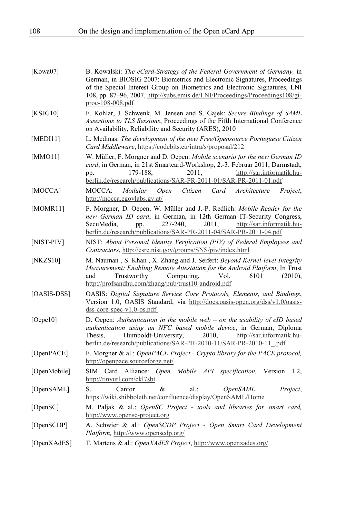| [Kowa07]     | B. Kowalski: The eCard-Strategy of the Federal Government of Germany, in<br>German, in BIOSIG 2007: Biometrics and Electronic Signatures, Proceedings<br>of the Special Interest Group on Biometrics and Electronic Signatures, LNI<br>108, pp. 87–96, 2007, http://subs.emis.de/LNI/Proceedings/Proceedings108/gi-<br>$proc-108-008.pdf$ |
|--------------|-------------------------------------------------------------------------------------------------------------------------------------------------------------------------------------------------------------------------------------------------------------------------------------------------------------------------------------------|
| [KSJG10]     | F. Kohlar, J. Schwenk, M. Jensen and S. Gajek: Secure Bindings of SAML<br>Assertions to TLS Sessions, Proceedings of the Fifth International Conference<br>on Availability, Reliability and Security (ARES), 2010                                                                                                                         |
| [MED111]     | L. Medinas: The development of the new Free/Opensource Portuguese Citizen<br><i>Card Middleware, https://codebits.eu/intra/s/proposal/212</i>                                                                                                                                                                                             |
| [MMO11]      | W. Müller, F. Morgner and D. Oepen: Mobile scenario for the new German ID<br>card, in German, in 21st Smartcard-Workshop, 2.-3. Februar 2011, Darmstadt,<br>http://sar.informatik.hu-<br>179-188,<br>2011,<br>pp.<br>berlin.de/research/publications/SAR-PR-2011-01/SAR-PR-2011-01.pdf                                                    |
| [MOCCA]      | MOCCA:<br>Modular<br>Citizen<br>Card<br>Architecture<br><b>Open</b><br>Project,<br>http://mocca.egovlabs.gv.at/                                                                                                                                                                                                                           |
| [MOMR11]     | F. Morgner, D. Oepen, W. Müller and J.-P. Redlich: Mobile Reader for the<br>new German ID card, in German, in 12th German IT-Security Congress,<br>SecuMedia,<br>227-240,<br>2011.<br>http://sar.informatik.hu-<br>pp.<br>berlin.de/research/publications/SAR-PR-2011-04/SAR-PR-2011-04.pdf                                               |
| [NIST-PIV]   | NIST: About Personal Identity Verification (PIV) of Federal Employees and<br>Contractors, http://csrc.nist.gov/groups/SNS/piv/index.html                                                                                                                                                                                                  |
| [NKZS10]     | M. Nauman, S. Khan, X. Zhang and J. Seifert: Beyond Kernel-level Integrity<br>Measurement: Enabling Remote Attestation for the Android Platform, In Trust<br>Computing,<br>Vol.<br>6101<br>and<br>Trustworthy<br>(2010),<br>http://profsandhu.com/zhang/pub/trust10-android.pdf                                                           |
| [OASIS-DSS]  | OASIS: Digital Signature Service Core Protocols, Elements, and Bindings,<br>Version 1.0, OASIS Standard, via http://docs.oasis-open.org/dss/v1.0/oasis-<br>$dss-core-spec-v1.0-os.pdf$                                                                                                                                                    |
| [Oepe10]     | D. Oepen: Authentication in the mobile web $-$ on the usability of eID based<br>authentication using an NFC based mobile device, in German, Diploma<br>Humboldt-University,<br>2010,<br>http://sar.informatik.hu-<br>Thesis.<br>berlin.de/research/publications/SAR-PR-2010-11/SAR-PR-2010-11 .pdf                                        |
| [OpenPACE]   | F. Morgner & al.: OpenPACE Project - Crypto library for the PACE protocol,<br>http://openpace.sourceforge.net/                                                                                                                                                                                                                            |
| [OpenMobile] | SIM Card Alliance:<br>Open Mobile API specification,<br>Version<br>1.2,<br>http://tinyurl.com/ckl7sbt                                                                                                                                                                                                                                     |
| [OpenSAML]   | S.<br>Cantor<br>&<br>$al.$ :<br><i><b>OpenSAML</b></i><br>Project,<br>https://wiki.shibboleth.net/confluence/display/OpenSAML/Home                                                                                                                                                                                                        |
| [OpenSC]     | M. Paljak & al.: OpenSC Project - tools and libraries for smart card,<br>http://www.opensc-project.org                                                                                                                                                                                                                                    |
| [OpenSCDP]   | A. Schwier & al.: OpenSCDP Project - Open Smart Card Development<br>Platform, http://www.openscdp.org/                                                                                                                                                                                                                                    |
|              | $\mathbf{r}$ $\mathbf{r}$ $\mathbf{r}$ $\mathbf{r}$ $\mathbf{r}$<br>$\sim$ $\sim$<br>$\cdots$                                                                                                                                                                                                                                             |

[OpenXAdES] T. Martens & al.: *OpenXAdES Project*, http://www.openxades.org/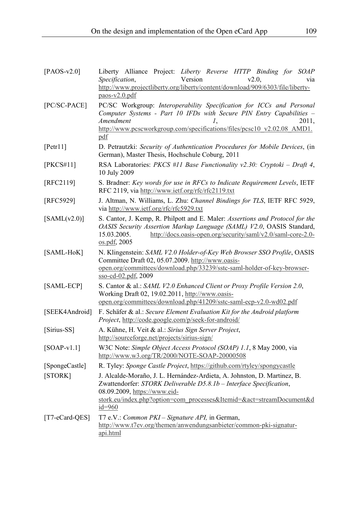| $[PAOS-v2.0]$    | Liberty Alliance Project: Liberty Reverse HTTP Binding for SOAP<br>Version<br><i>Specification,</i><br>v2.0.<br>via<br>http://www.projectliberty.org/liberty/content/download/909/6303/file/liberty-<br>$p$ aos-v $2.0$ .pdf                                        |
|------------------|---------------------------------------------------------------------------------------------------------------------------------------------------------------------------------------------------------------------------------------------------------------------|
| [PC/SC-PACE]     | PC/SC Workgroup: Interoperability Specification for ICCs and Personal<br>Computer Systems - Part 10 IFDs with Secure PIN Entry Capabilities -<br>Amendment<br>2011,<br>1.<br>http://www.pcscworkgroup.com/specifications/files/pcsc10 v2.02.08 AMD1.<br>pdf         |
| [Petr11]         | D. Petrautzki: Security of Authentication Procedures for Mobile Devices, (in<br>German), Master Thesis, Hochschule Coburg, 2011                                                                                                                                     |
| [PKCS#11]        | RSA Laboratories: PKCS #11 Base Functionality $v2.30$ : Cryptoki – Draft 4,<br>10 July 2009                                                                                                                                                                         |
| [RFC2119]        | S. Bradner: Key words for use in RFCs to Indicate Requirement Levels, IETF<br>RFC 2119, via http://www.ietf.org/rfc/rfc2119.txt                                                                                                                                     |
| [RFC5929]        | J. Altman, N. Williams, L. Zhu: Channel Bindings for TLS, IETF RFC 5929,<br>via http://www.ietf.org/rfc/rfc5929.txt                                                                                                                                                 |
| [SAML(v2.0)]     | S. Cantor, J. Kemp, R. Philpott and E. Maler: Assertions and Protocol for the<br>OASIS Security Assertion Markup Language (SAML) V2.0, OASIS Standard,<br>15.03.2005.<br>http://docs.oasis-open.org/security/saml/v2.0/saml-core-2.0-<br>os.pdf, 2005               |
| [SAML-HoK]       | N. Klingenstein: SAML V2.0 Holder-of-Key Web Browser SSO Profile, OASIS<br>Committee Draft 02, 05.07.2009. http://www.oasis-<br>open.org/committees/download.php/33239/sstc-saml-holder-of-key-browser-<br>sso-cd-02.pdf, 2009                                      |
| [SAML-ECP]       | S. Cantor & al.: SAML V2.0 Enhanced Client or Proxy Profile Version 2.0,<br>Working Draft 02, 19.02.2011, http://www.oasis-<br>open.org/committees/download.php/41209/sstc-saml-ecp-v2.0-wd02.pdf                                                                   |
| [SEEK4Android]   | F. Schäfer & al.: Secure Element Evaluation Kit for the Android platform<br>Project, http://code.google.com/p/seek-for-android/                                                                                                                                     |
| [Sirius-SS]      | A. Kühne, H. Veit & al.: Sirius Sign Server Project,<br>http://sourceforge.net/projects/sirius-sign/                                                                                                                                                                |
| $[SOAP-v1.1]$    | W3C Note: Simple Object Access Protocol (SOAP) 1.1, 8 May 2000, via<br>http://www.w3.org/TR/2000/NOTE-SOAP-20000508                                                                                                                                                 |
| [SpongeCastle]   | R. Tyley: Sponge Castle Project, https://github.com/rtyley/spongycastle                                                                                                                                                                                             |
| [STORK]          | J. Alcalde-Moraño, J. L. Hernández-Ardieta, A. Johnston, D. Martinez, B.<br>Zwattendorfer: STORK Deliverable D5.8.1b - Interface Specification,<br>08.09.2009, https://www.eid-<br>stork.eu/index.php?option=com_processes&Itemid=&act=streamDocument&d<br>$id=960$ |
| $[T7-eCard-QES]$ | T7 e.V.: <i>Common PKI – Signature API</i> , in German,<br>http://www.t7ev.org/themen/anwendungsanbieter/common-pki-signatur-<br>api.html                                                                                                                           |